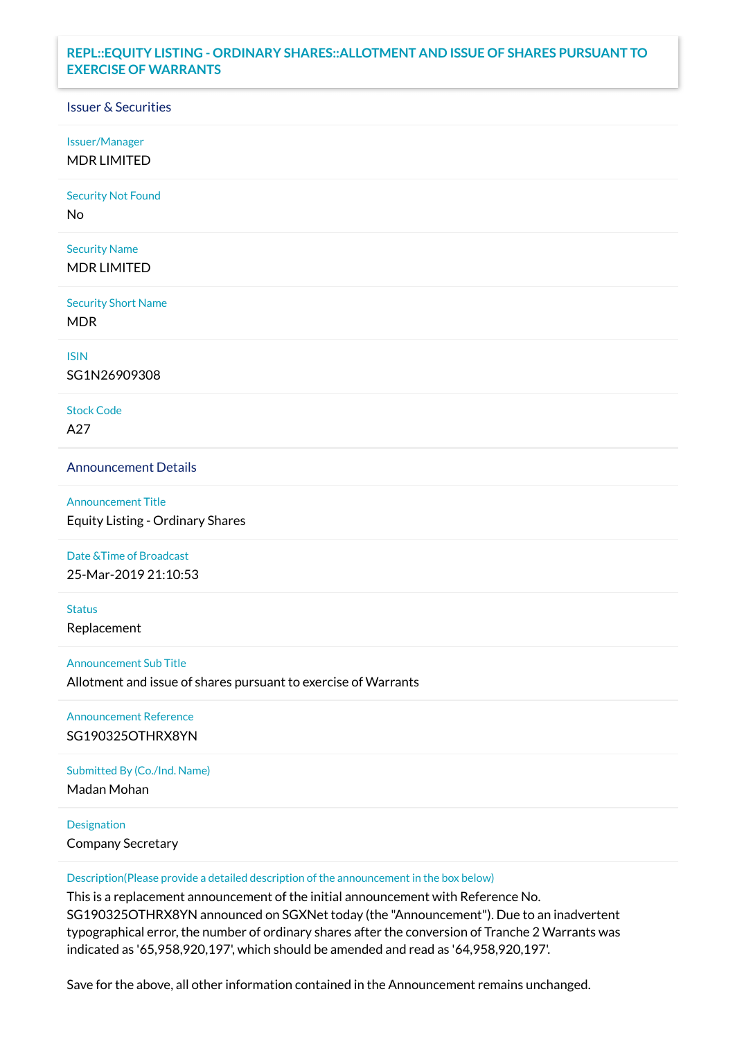# **REPL::EQUITY LISTING - ORDINARY SHARES::ALLOTMENT AND ISSUE OF SHARES PURSUANT TO EXERCISE OF WARRANTS**

### Issuer & Securities

Issuer/Manager

MDR LIMITED

Security Not Found

No

Security Name MDR LIMITED

Security Short Name MDR

ISIN

SG1N26909308

Stock Code A27

Announcement Details

Announcement Title Equity Listing - Ordinary Shares

Date &Time of Broadcast

25-Mar-2019 21:10:53

**Status** Replacement

Announcement Sub Title

Allotment and issue of shares pursuant to exercise of Warrants

Announcement Reference SG190325OTHRX8YN

Submitted By (Co./Ind. Name)

Madan Mohan

Designation

Company Secretary

Description(Please provide a detailed description of the announcement in the box below)

This is a replacement announcement of the initial announcement with Reference No. SG190325OTHRX8YN announced on SGXNet today (the "Announcement"). Due to an inadvertent typographical error, the number of ordinary shares after the conversion of Tranche 2 Warrants was indicated as '65,958,920,197', which should be amended and read as '64,958,920,197'.

Save for the above, all other information contained in the Announcement remains unchanged.